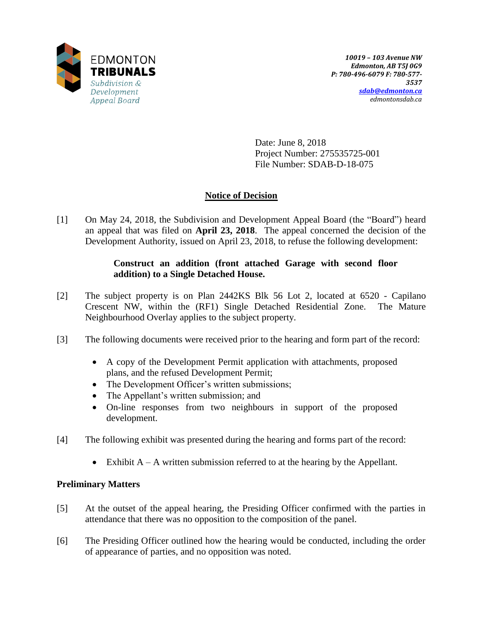

Date: June 8, 2018 Project Number: 275535725-001 File Number: SDAB-D-18-075

# **Notice of Decision**

[1] On May 24, 2018, the Subdivision and Development Appeal Board (the "Board") heard an appeal that was filed on **April 23, 2018**. The appeal concerned the decision of the Development Authority, issued on April 23, 2018, to refuse the following development:

## **Construct an addition (front attached Garage with second floor addition) to a Single Detached House.**

- [2] The subject property is on Plan 2442KS Blk 56 Lot 2, located at 6520 Capilano Crescent NW, within the (RF1) Single Detached Residential Zone. The Mature Neighbourhood Overlay applies to the subject property.
- [3] The following documents were received prior to the hearing and form part of the record:
	- A copy of the Development Permit application with attachments, proposed plans, and the refused Development Permit;
	- The Development Officer's written submissions;
	- The Appellant's written submission; and
	- On-line responses from two neighbours in support of the proposed development.
- [4] The following exhibit was presented during the hearing and forms part of the record:
	- Exhibit  $A A$  written submission referred to at the hearing by the Appellant.

## **Preliminary Matters**

- [5] At the outset of the appeal hearing, the Presiding Officer confirmed with the parties in attendance that there was no opposition to the composition of the panel.
- [6] The Presiding Officer outlined how the hearing would be conducted, including the order of appearance of parties, and no opposition was noted.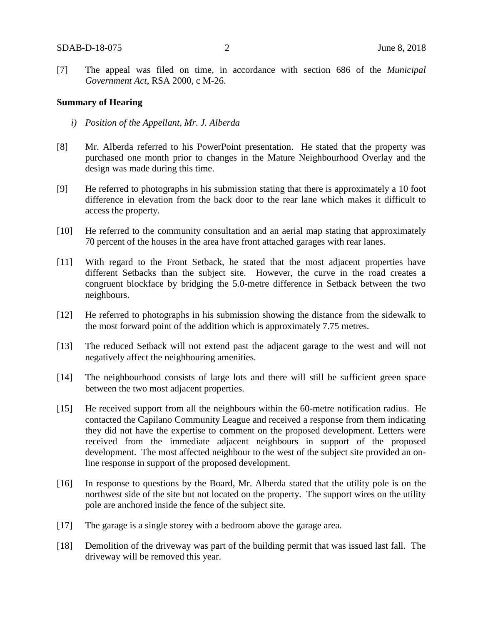[7] The appeal was filed on time, in accordance with section 686 of the *Municipal Government Act*, RSA 2000, c M-26.

#### **Summary of Hearing**

- *i) Position of the Appellant, Mr. J. Alberda*
- [8] Mr. Alberda referred to his PowerPoint presentation. He stated that the property was purchased one month prior to changes in the Mature Neighbourhood Overlay and the design was made during this time.
- [9] He referred to photographs in his submission stating that there is approximately a 10 foot difference in elevation from the back door to the rear lane which makes it difficult to access the property.
- [10] He referred to the community consultation and an aerial map stating that approximately 70 percent of the houses in the area have front attached garages with rear lanes.
- [11] With regard to the Front Setback, he stated that the most adjacent properties have different Setbacks than the subject site. However, the curve in the road creates a congruent blockface by bridging the 5.0-metre difference in Setback between the two neighbours.
- [12] He referred to photographs in his submission showing the distance from the sidewalk to the most forward point of the addition which is approximately 7.75 metres.
- [13] The reduced Setback will not extend past the adjacent garage to the west and will not negatively affect the neighbouring amenities.
- [14] The neighbourhood consists of large lots and there will still be sufficient green space between the two most adjacent properties.
- [15] He received support from all the neighbours within the 60-metre notification radius. He contacted the Capilano Community League and received a response from them indicating they did not have the expertise to comment on the proposed development. Letters were received from the immediate adjacent neighbours in support of the proposed development. The most affected neighbour to the west of the subject site provided an online response in support of the proposed development.
- [16] In response to questions by the Board, Mr. Alberda stated that the utility pole is on the northwest side of the site but not located on the property. The support wires on the utility pole are anchored inside the fence of the subject site.
- [17] The garage is a single storey with a bedroom above the garage area.
- [18] Demolition of the driveway was part of the building permit that was issued last fall. The driveway will be removed this year.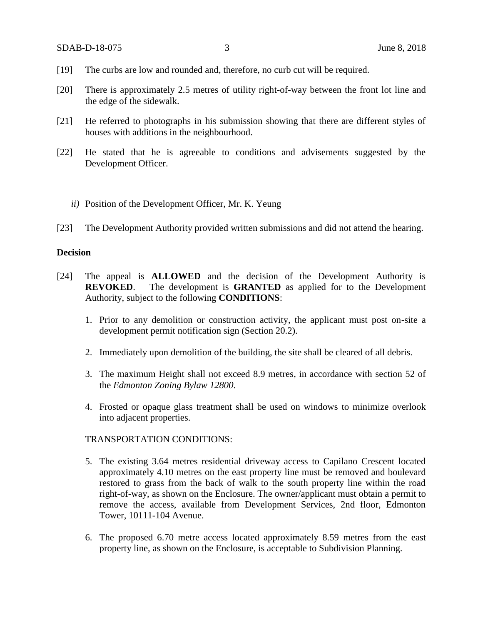- [19] The curbs are low and rounded and, therefore, no curb cut will be required.
- [20] There is approximately 2.5 metres of utility right-of-way between the front lot line and the edge of the sidewalk.
- [21] He referred to photographs in his submission showing that there are different styles of houses with additions in the neighbourhood.
- [22] He stated that he is agreeable to conditions and advisements suggested by the Development Officer.
	- *ii)* Position of the Development Officer, Mr. K. Yeung
- [23] The Development Authority provided written submissions and did not attend the hearing.

## **Decision**

- [24] The appeal is **ALLOWED** and the decision of the Development Authority is **REVOKED**. The development is **GRANTED** as applied for to the Development Authority, subject to the following **CONDITIONS**:
	- 1. Prior to any demolition or construction activity, the applicant must post on-site a development permit notification sign (Section 20.2).
	- 2. Immediately upon demolition of the building, the site shall be cleared of all debris.
	- 3. The maximum Height shall not exceed 8.9 metres, in accordance with section 52 of the *Edmonton Zoning Bylaw 12800*.
	- 4. Frosted or opaque glass treatment shall be used on windows to minimize overlook into adjacent properties.

#### TRANSPORTATION CONDITIONS:

- 5. The existing 3.64 metres residential driveway access to Capilano Crescent located approximately 4.10 metres on the east property line must be removed and boulevard restored to grass from the back of walk to the south property line within the road right-of-way, as shown on the Enclosure. The owner/applicant must obtain a permit to remove the access, available from Development Services, 2nd floor, Edmonton Tower, 10111-104 Avenue.
- 6. The proposed 6.70 metre access located approximately 8.59 metres from the east property line, as shown on the Enclosure, is acceptable to Subdivision Planning.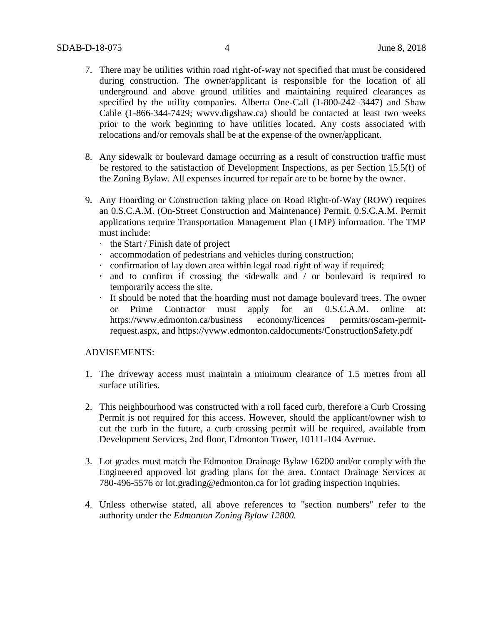- 7. There may be utilities within road right-of-way not specified that must be considered during construction. The owner/applicant is responsible for the location of all underground and above ground utilities and maintaining required clearances as specified by the utility companies. Alberta One-Call (1-800-242-3447) and Shaw Cable (1-866-344-7429; wwvv.digshaw.ca) should be contacted at least two weeks prior to the work beginning to have utilities located. Any costs associated with relocations and/or removals shall be at the expense of the owner/applicant.
- 8. Any sidewalk or boulevard damage occurring as a result of construction traffic must be restored to the satisfaction of Development Inspections, as per Section 15.5(f) of the Zoning Bylaw. All expenses incurred for repair are to be borne by the owner.
- 9. Any Hoarding or Construction taking place on Road Right-of-Way (ROW) requires an 0.S.C.A.M. (On-Street Construction and Maintenance) Permit. 0.S.C.A.M. Permit applications require Transportation Management Plan (TMP) information. The TMP must include:
	- · the Start / Finish date of project
	- · accommodation of pedestrians and vehicles during construction;
	- · confirmation of lay down area within legal road right of way if required;
	- · and to confirm if crossing the sidewalk and / or boulevard is required to temporarily access the site.
	- · It should be noted that the hoarding must not damage boulevard trees. The owner or Prime Contractor must apply for an 0.S.C.A.M. online at: https://www.edmonton.ca/business economy/licences permits/oscam-permitrequest.aspx, and https://vvww.edmonton.caldocuments/ConstructionSafety.pdf

## ADVISEMENTS:

- 1. The driveway access must maintain a minimum clearance of 1.5 metres from all surface utilities.
- 2. This neighbourhood was constructed with a roll faced curb, therefore a Curb Crossing Permit is not required for this access. However, should the applicant/owner wish to cut the curb in the future, a curb crossing permit will be required, available from Development Services, 2nd floor, Edmonton Tower, 10111-104 Avenue.
- 3. Lot grades must match the Edmonton Drainage Bylaw 16200 and/or comply with the Engineered approved lot grading plans for the area. Contact Drainage Services at 780-496-5576 or lot.grading@edmonton.ca for lot grading inspection inquiries.
- 4. Unless otherwise stated, all above references to "section numbers" refer to the authority under the *Edmonton Zoning Bylaw 12800.*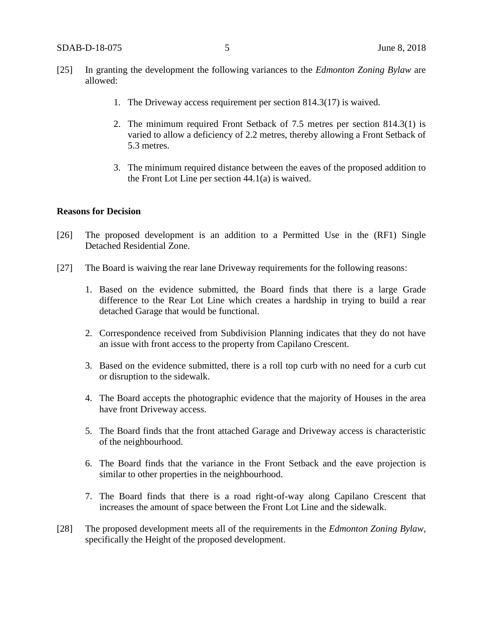- [25] In granting the development the following variances to the *Edmonton Zoning Bylaw* are allowed:
	- 1. The Driveway access requirement per section 814.3(17) is waived.
	- 2. The minimum required Front Setback of 7.5 metres per section 814.3(1) is varied to allow a deficiency of 2.2 metres, thereby allowing a Front Setback of 5.3 metres.
	- 3. The minimum required distance between the eaves of the proposed addition to the Front Lot Line per section 44.1(a) is waived.

#### **Reasons for Decision**

- [26] The proposed development is an addition to a Permitted Use in the (RF1) Single Detached Residential Zone.
- [27] The Board is waiving the rear lane Driveway requirements for the following reasons:
	- 1. Based on the evidence submitted, the Board finds that there is a large Grade difference to the Rear Lot Line which creates a hardship in trying to build a rear detached Garage that would be functional.
	- 2. Correspondence received from Subdivision Planning indicates that they do not have an issue with front access to the property from Capilano Crescent.
	- 3. Based on the evidence submitted, there is a roll top curb with no need for a curb cut or disruption to the sidewalk.
	- 4. The Board accepts the photographic evidence that the majority of Houses in the area have front Driveway access.
	- 5. The Board finds that the front attached Garage and Driveway access is characteristic of the neighbourhood.
	- 6. The Board finds that the variance in the Front Setback and the eave projection is similar to other properties in the neighbourhood.
	- 7. The Board finds that there is a road right-of-way along Capilano Crescent that increases the amount of space between the Front Lot Line and the sidewalk.
- [28] The proposed development meets all of the requirements in the *Edmonton Zoning Bylaw*, specifically the Height of the proposed development.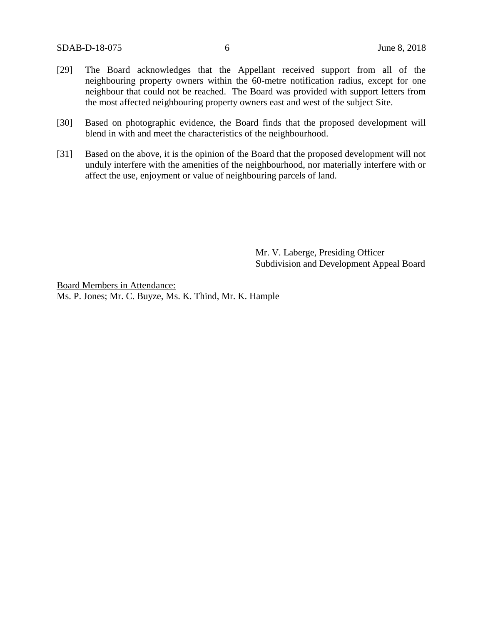- [29] The Board acknowledges that the Appellant received support from all of the neighbouring property owners within the 60-metre notification radius, except for one neighbour that could not be reached. The Board was provided with support letters from the most affected neighbouring property owners east and west of the subject Site.
- [30] Based on photographic evidence, the Board finds that the proposed development will blend in with and meet the characteristics of the neighbourhood.
- [31] Based on the above, it is the opinion of the Board that the proposed development will not unduly interfere with the amenities of the neighbourhood, nor materially interfere with or affect the use, enjoyment or value of neighbouring parcels of land.

Mr. V. Laberge, Presiding Officer Subdivision and Development Appeal Board

Board Members in Attendance: Ms. P. Jones; Mr. C. Buyze, Ms. K. Thind, Mr. K. Hample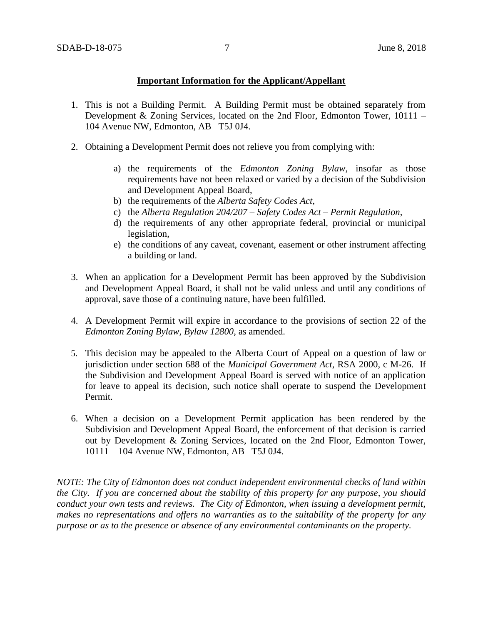## **Important Information for the Applicant/Appellant**

- 1. This is not a Building Permit. A Building Permit must be obtained separately from Development & Zoning Services, located on the 2nd Floor, Edmonton Tower, 10111 – 104 Avenue NW, Edmonton, AB T5J 0J4.
- 2. Obtaining a Development Permit does not relieve you from complying with:
	- a) the requirements of the *Edmonton Zoning Bylaw*, insofar as those requirements have not been relaxed or varied by a decision of the Subdivision and Development Appeal Board,
	- b) the requirements of the *Alberta Safety Codes Act*,
	- c) the *Alberta Regulation 204/207 – Safety Codes Act – Permit Regulation*,
	- d) the requirements of any other appropriate federal, provincial or municipal legislation,
	- e) the conditions of any caveat, covenant, easement or other instrument affecting a building or land.
- 3. When an application for a Development Permit has been approved by the Subdivision and Development Appeal Board, it shall not be valid unless and until any conditions of approval, save those of a continuing nature, have been fulfilled.
- 4. A Development Permit will expire in accordance to the provisions of section 22 of the *Edmonton Zoning Bylaw, Bylaw 12800*, as amended.
- 5. This decision may be appealed to the Alberta Court of Appeal on a question of law or jurisdiction under section 688 of the *Municipal Government Act*, RSA 2000, c M-26. If the Subdivision and Development Appeal Board is served with notice of an application for leave to appeal its decision, such notice shall operate to suspend the Development Permit.
- 6. When a decision on a Development Permit application has been rendered by the Subdivision and Development Appeal Board, the enforcement of that decision is carried out by Development & Zoning Services, located on the 2nd Floor, Edmonton Tower, 10111 – 104 Avenue NW, Edmonton, AB T5J 0J4.

*NOTE: The City of Edmonton does not conduct independent environmental checks of land within the City. If you are concerned about the stability of this property for any purpose, you should conduct your own tests and reviews. The City of Edmonton, when issuing a development permit, makes no representations and offers no warranties as to the suitability of the property for any purpose or as to the presence or absence of any environmental contaminants on the property.*